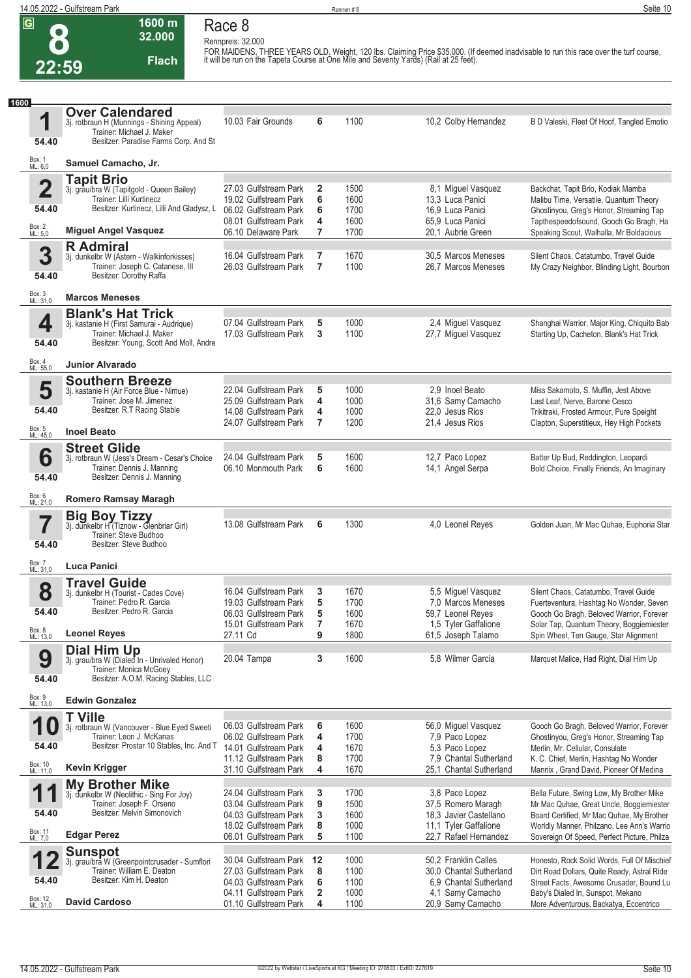**8 22:59**

## **Race 8**

**Rennpreis: 32.000**

**32.000 Flach**

**1600 m**

FOR MAIDENS, THREE YEARS OLD. Weight, 120 lbs. Claiming Price \$35,000. (If deemed inadvisable to run this race over the turf course,<br>it will be run on the Tapeta Course at One Mile and Seventy Yards) (Rail at 25 feet).

| 1600                    |                                                                             |                                                |                   |              |                                                   |                                                                                       |
|-------------------------|-----------------------------------------------------------------------------|------------------------------------------------|-------------------|--------------|---------------------------------------------------|---------------------------------------------------------------------------------------|
| 1                       | <b>Over Calendared</b><br>3j. rotbraun H (Munnings - Shining Appeal)        | 10.03 Fair Grounds                             | 6                 | 1100         | 10,2 Colby Hernandez                              | B D Valeski, Fleet Of Hoof, Tangled Emotio                                            |
|                         | Trainer: Michael J. Maker                                                   |                                                |                   |              |                                                   |                                                                                       |
| 54.40                   | Besitzer: Paradise Farms Corp. And St                                       |                                                |                   |              |                                                   |                                                                                       |
| Box: 1<br>ML: 6.0       | Samuel Camacho, Jr.                                                         |                                                |                   |              |                                                   |                                                                                       |
|                         | <b>Tapit Brio</b>                                                           |                                                |                   |              |                                                   |                                                                                       |
| $\overline{\mathbf{2}}$ | 3j. grau/bra W (Tapitgold - Queen Bailey)<br>Trainer: Lilli Kurtinecz       | 27.03 Gulfstream Park<br>19.02 Gulfstream Park | $\mathbf{2}$<br>6 | 1500<br>1600 | 8,1 Miguel Vasquez<br>13,3 Luca Panici            | Backchat, Tapit Brio, Kodiak Mamba<br>Malibu Time, Versatile, Quantum Theory          |
| 54.40                   | Besitzer: Kurtinecz, Lilli And Gladysz, L.                                  | 06.02 Gulfstream Park                          | 6                 | 1700         | 16,9 Luca Panici                                  | Ghostinyou, Greg's Honor, Streaming Tap                                               |
| Box: 2<br>ML: 5,0       | <b>Miguel Angel Vasquez</b>                                                 | 08.01 Gulfstream Park                          | 4                 | 1600         | 65.9 Luca Panici                                  | Tapthespeedofsound, Gooch Go Bragh, Ha                                                |
|                         | <b>R</b> Admiral                                                            | 06.10 Delaware Park                            | 7                 | 1700         | 20,1 Aubrie Green                                 | Speaking Scout, Walhalla, Mr Boldacious                                               |
| 3                       | 3j. dunkelbr W (Astern - Walkinforkisses)                                   | 16.04 Gulfstream Park                          | 7                 | 1670         | 30,5 Marcos Meneses                               | Silent Chaos, Catatumbo, Travel Guide                                                 |
| 54.40                   | Trainer: Joseph C. Catanese, III<br>Besitzer: Dorothy Raffa                 | 26.03 Gulfstream Park                          | $\overline{7}$    | 1100         | 26.7 Marcos Meneses                               | My Crazy Neighbor, Blinding Light, Bourbon                                            |
|                         |                                                                             |                                                |                   |              |                                                   |                                                                                       |
| Box: 3<br>ML: 31,0      | <b>Marcos Meneses</b>                                                       |                                                |                   |              |                                                   |                                                                                       |
| 4                       | <b>Blank's Hat Trick</b><br>3j. kastanie H (First Samurai - Audrique)       | 07.04 Gulfstream Park                          | 5                 | 1000         | 2,4 Miguel Vasquez                                | Shanghai Warrior, Major King, Chiquito Bab                                            |
|                         | Trainer: Michael J. Maker                                                   | 17.03 Gulfstream Park                          | 3                 | 1100         | 27,7 Miguel Vasquez                               | Starting Up, Cacheton, Blank's Hat Trick                                              |
| 54.40                   | Besitzer: Young, Scott And Moll, Andre                                      |                                                |                   |              |                                                   |                                                                                       |
| Box: 4<br>ML: 55,0      | <b>Junior Alvarado</b>                                                      |                                                |                   |              |                                                   |                                                                                       |
|                         | <b>Southern Breeze</b>                                                      |                                                |                   |              |                                                   |                                                                                       |
| 5                       | 3j. kastanie H (Air Force Blue - Nimue)<br>Trainer: Jose M. Jimenez         | 22.04 Gulfstream Park<br>25.09 Gulfstream Park | 5<br>4            | 1000<br>1000 | 2.9 Inoel Beato<br>31,6 Samy Camacho              | Miss Sakamoto, S. Muffin, Jest Above<br>Last Leaf, Nerve, Barone Cesco                |
| 54.40                   | Besitzer: R.T Racing Stable                                                 | 14.08 Gulfstream Park                          | 4                 | 1000         | 22.0 Jesus Rios                                   | Trikitraki, Frosted Armour, Pure Speight                                              |
| Box: 5<br>ML: 45.0      | <b>Inoel Beato</b>                                                          | 24.07 Gulfstream Park                          | 7                 | 1200         | 21,4 Jesus Rios                                   | Clapton, Superstitieux, Hey High Pockets                                              |
|                         | <b>Street Glide</b>                                                         |                                                |                   |              |                                                   |                                                                                       |
| 6                       | 3j. rotbraun W (Jess's Dream - Cesar's Choice<br>Trainer: Dennis J. Manning | 24.04 Gulfstream Park<br>06.10 Monmouth Park   | 5<br>6            | 1600<br>1600 | 12,7 Paco Lopez<br>14,1 Angel Serpa               | Batter Up Bud, Reddington, Leopardi<br>Bold Choice, Finally Friends, An Imaginary     |
| 54.40                   | Besitzer: Dennis J. Manning                                                 |                                                |                   |              |                                                   |                                                                                       |
| Box: 6<br>ML: 21,0      | Romero Ramsay Maragh                                                        |                                                |                   |              |                                                   |                                                                                       |
|                         | <b>Big Boy Tizzy</b>                                                        |                                                |                   |              |                                                   |                                                                                       |
| 7                       | 3j. dunkelbr H (Tiznow - Glenbriar Girl)                                    | 13.08 Gulfstream Park                          | 6                 | 1300         | 4,0 Leonel Reyes                                  | Golden Juan, Mr Mac Quhae, Euphoria Star                                              |
| 54.40                   | Trainer: Steve Budhoo<br>Besitzer: Steve Budhoo                             |                                                |                   |              |                                                   |                                                                                       |
|                         |                                                                             |                                                |                   |              |                                                   |                                                                                       |
| Box: 7<br>ML: 31,0      | Luca Panici                                                                 |                                                |                   |              |                                                   |                                                                                       |
| 8                       | <b>Travel Guide</b><br>3j. dunkelbr H (Tourist - Cades Cove)                | 16.04 Gulfstream Park                          | 3                 | 1670         | 5,5 Miguel Vasquez                                | Silent Chaos, Catatumbo, Travel Guide                                                 |
| 54.40                   | Trainer: Pedro R. Garcia<br>Besitzer: Pedro R. Garcia                       | 19.03 Gulfstream Park                          | 5                 | 1700         | 7.0 Marcos Meneses                                | Fuerteventura, Hashtag No Wonder, Seven                                               |
|                         |                                                                             | 06.03 Gulfstream Park<br>15.01 Gulfstream Park | 5<br>7            | 1600<br>1670 | 59.7 Leonel Reyes<br>1,5 Tyler Gaffalione         | Gooch Go Bragh, Beloved Warrior, Forever<br>Solar Tap, Quantum Theory, Boggiemiester  |
| Box: 8<br>ML: 13,0      | <b>Leonel Reyes</b>                                                         | 27.11 Cd                                       | 9                 | 1800         | 61,5 Joseph Talamo                                | Spin Wheel, Ten Gauge, Star Alignment                                                 |
|                         | Dial Him Up<br>3j. grau/bra W (Dialed In - Unrivaled Honor)                 | 20.04 Tampa                                    | 3                 | 1600         | 5,8 Wilmer Garcia                                 |                                                                                       |
| 9                       | Trainer: Monica McGoey                                                      |                                                |                   |              |                                                   | Marquet Malice, Had Right, Dial Him Up                                                |
| 54.40                   | Besitzer: A.O.M. Racing Stables, LLC                                        |                                                |                   |              |                                                   |                                                                                       |
| Box: 9<br>ML: 13,0      | <b>Edwin Gonzalez</b>                                                       |                                                |                   |              |                                                   |                                                                                       |
| ◀                       | <b>T</b> Ville                                                              |                                                |                   |              |                                                   |                                                                                       |
|                         | 3j. rotbraun W (Vancouver - Blue Eyed Sweeti<br>Trainer: Leon J. McKanas    | 06.03 Gulfstream Park<br>06.02 Gulfstream Park | 6<br>4            | 1600<br>1700 | 56,0 Miguel Vasquez<br>7,9 Paco Lopez             | Gooch Go Bragh, Beloved Warrior, Forever<br>Ghostinyou, Greg's Honor, Streaming Tap   |
| 54.40                   | Besitzer: Prostar 10 Stables, Inc. And T                                    | 14.01 Gulfstream Park                          | 4                 | 1670         | 5,3 Paco Lopez                                    | Merlin, Mr. Cellular, Consulate                                                       |
| Box: 10<br>ML: 11,0     | <b>Kevin Krigger</b>                                                        | 11.12 Gulfstream Park<br>31.10 Gulfstream Park | 8<br>4            | 1700<br>1670 | 7.9 Chantal Sutherland<br>25,1 Chantal Sutherland | K. C. Chief, Merlin, Hashtag No Wonder<br>Mannix, Grand David, Pioneer Of Medina      |
|                         | <b>My Brother Mike</b>                                                      |                                                |                   |              |                                                   |                                                                                       |
| 1                       | 3j. dunkelbr W (Neolithic - Sing For Joy)                                   | 24.04 Gulfstream Park                          | 3                 | 1700         | 3,8 Paco Lopez                                    | Bella Future, Swing Low, My Brother Mike                                              |
| 54.40                   | Trainer: Joseph F. Orseno<br>Besitzer: Melvin Simonovich                    | 03.04 Gulfstream Park<br>04.03 Gulfstream Park | 9<br>3            | 1500<br>1600 | 37,5 Romero Maragh<br>18,3 Javier Castellano      | Mr Mac Quhae, Great Uncle, Boggiemiester<br>Board Certified, Mr Mac Quhae, My Brother |
|                         |                                                                             | 18.02 Gulfstream Park                          | 8                 | 1000         | 11,1 Tyler Gaffalione                             | Worldly Manner, Philzano, Lee Ann's Warrio                                            |
| Box: 11<br>ML: 7,0      | <b>Edgar Perez</b>                                                          | 06.01 Gulfstream Park                          | 5                 | 1100         | 22,7 Rafael Hernandez                             | Sovereign Of Speed, Perfect Picture, Philza                                           |
|                         | <b>Sunspot</b><br>3j. grau/bra W (Greenpointcrusader - Sumflori             | 30.04 Gulfstream Park                          | 12                | 1000         | 50,2 Franklin Calles                              | Honesto, Rock Solid Words, Full Of Mischief                                           |
|                         | Trainer: William E. Deaton                                                  | 27.03 Gulfstream Park                          | 8                 | 1100         | 30,0 Chantal Sutherland                           | Dirt Road Dollars, Quite Ready, Astral Ride                                           |
| 54.40                   | Besitzer: Kim H. Deaton                                                     | 04.03 Gulfstream Park<br>04.11 Gulfstream Park | 6<br>2            | 1100<br>1000 | 6.9 Chantal Sutherland<br>4,1 Samy Camacho        | Street Facts, Awesome Crusader, Bound Lu<br>Baby's Dialed In, Sunspot, Mekano         |
| Box: 12<br>ML: 31,0     | <b>David Cardoso</b>                                                        | 01.10 Gulfstream Park                          | 4                 | 1100         | 20,9 Samy Camacho                                 | More Adventurous, Backatya, Eccentrico                                                |